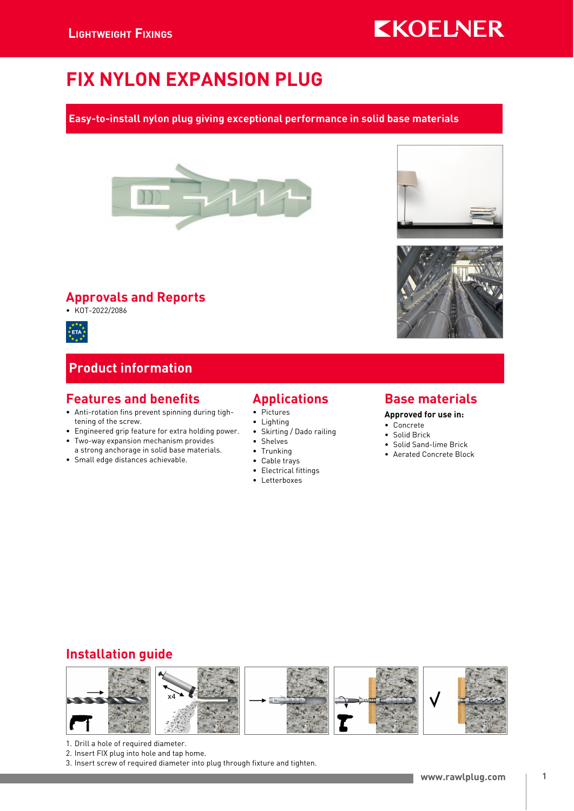# FIX NYLON EXPANSION PLUG

### Easy-to-install nylon plug giving exceptional performance in solid base materials



### Approvals and Reports

• KOT-2022/2086



### Product information

### Features and benefits

- Anti-rotation fins prevent spinning during tightening of the screw.
- Engineered grip feature for extra holding power. • Two-way expansion mechanism provides a strong anchorage in solid base materials.
- Small edge distances achievable.

# Applications

- Pictures
- Lighting
- Skirting / Dado railing
- Shelves
- Trunking
- Cable trays
- Electrical fittings
- Letterboxes

### Base materials

#### Approved for use in:

- Concrete
- Solid Brick
- Solid Sand-lime Brick
- Aerated Concrete Block

### Installation guide



- 1. Drill a hole of required diameter.
- 2. Insert FIX plug into hole and tap home.
- 3. Insert screw of required diameter into plug through fixture and tighten.





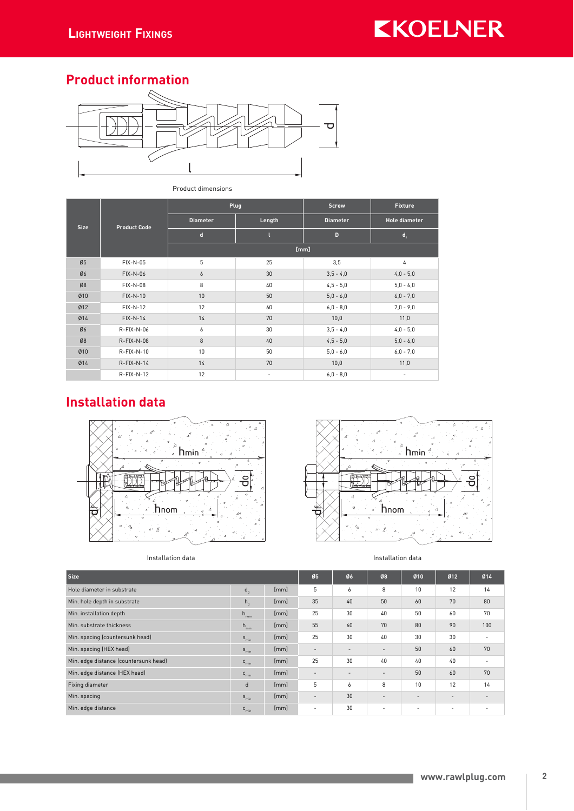### Product information



#### Product dimensions

| <b>Size</b> | <b>Product Code</b> |                 | Plug   | <b>Screw</b>    | <b>Fixture</b>                           |  |
|-------------|---------------------|-----------------|--------|-----------------|------------------------------------------|--|
|             |                     | <b>Diameter</b> | Length | <b>Diameter</b> | <b>Hole diameter</b><br>$\mathbf{d}_{i}$ |  |
|             |                     | $\mathbf d$     |        | D               |                                          |  |
|             |                     | [mm]            |        |                 |                                          |  |
| Ø5          | FIX-N-05            | 5               | 25     | 3,5             | 4                                        |  |
| Ø6          | FIX-N-06            | 6               | 30     | $3,5 - 4,0$     | $4,0 - 5,0$                              |  |
| Ø8          | FIX-N-08            | 8               | 40     | $4,5 - 5,0$     | $5,0 - 6,0$                              |  |
| 010         | $FIX-N-10$          | 10              | 50     | $5,0 - 6,0$     | $6,0 - 7,0$                              |  |
| Ø12         | $FIX-N-12$          | 12              | 60     | $6,0 - 8,0$     | $7,0 - 9,0$                              |  |
| Ø14         | $FIX-N-14$          | 14              | 70     | 10,0            | 11,0                                     |  |
| Ø6          | R-FIX-N-06          | 6               | 30     | $3,5 - 4,0$     | $4,0 - 5,0$                              |  |
| Ø8          | $R-FIX-N-08$        | 8               | 40     | $4,5 - 5,0$     | $5,0 - 6,0$                              |  |
| Ø10         | $R-FIX-N-10$        | 10              | 50     | $5,0 - 6,0$     | $6,0 - 7,0$                              |  |
| Ø14         | $R-FIX-N-14$        | 14              | 70     | 10,0            | 11,0                                     |  |
|             | $R-FIX-N-12$        | 12              | -      | $6,0 - 8,0$     |                                          |  |

# Installation data







| <b>Size</b>                           |                  |      | Ø5                       | Ø6                       | Ø8                       | Ø10                      | Ø12                      | Ø14                      |
|---------------------------------------|------------------|------|--------------------------|--------------------------|--------------------------|--------------------------|--------------------------|--------------------------|
| Hole diameter in substrate            | $d_{n}$          | [mm] | 5                        | 6                        | 8                        | 10                       | 12                       | 14                       |
| Min. hole depth in substrate          | $h_{n}$          | [mm] | 35                       | 40                       | 50                       | 60                       | 70                       | 80                       |
| Min. installation depth               | $h_{nom}$        | [mm] | 25                       | 30                       | 40                       | 50                       | 60                       | 70                       |
| Min. substrate thickness              | $h_{\min}$       | [mm] | 55                       | 60                       | 70                       | 80                       | 90                       | 100                      |
| Min. spacing (countersunk head)       | $S_{\text{min}}$ | [mm] | 25                       | 30                       | 40                       | 30                       | 30                       | -                        |
| Min. spacing (HEX head)               | $S_{\text{min}}$ | [mm] | $\overline{\phantom{a}}$ | $\overline{\phantom{a}}$ | $\overline{\phantom{a}}$ | 50                       | 60                       | 70                       |
| Min. edge distance (countersunk head) | $c_{\min}$       | [mm] | 25                       | 30                       | 40                       | 40                       | 40                       |                          |
| Min. edge distance (HEX head)         | $C_{\text{min}}$ | [mm] | $\overline{\phantom{a}}$ | $\overline{\phantom{a}}$ | $\overline{\phantom{a}}$ | 50                       | 60                       | 70                       |
| Fixing diameter                       | d                | [mm] | 5                        | 6                        | 8                        | 10                       | 12                       | 14                       |
| Min. spacing                          | $S_{\text{min}}$ | [mm] | $\overline{\phantom{a}}$ | 30                       | $\overline{\phantom{a}}$ | $\overline{\phantom{a}}$ | $\overline{\phantom{a}}$ | $\overline{\phantom{a}}$ |
| Min. edge distance                    | $C_{\text{min}}$ | [mm] | $\overline{\phantom{a}}$ | 30                       | $\overline{\phantom{a}}$ | ٠                        | -                        |                          |